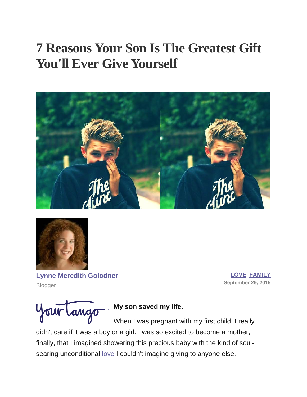# **7 Reasons Your Son Is The Greatest Gift You'll Ever Give Yourself**





**[Lynne Meredith Golodner](http://www.yourtango.com/users/lynne-meredith-golodner)** Blogger

**[LOVE](http://www.yourtango.com/love)**, **[FAMILY](http://www.yourtango.com/family) September 29, 2015**

Your Lango

## **My son saved my life.**

When I was pregnant with my first child, I really didn't care if it was a boy or a girl. I was so excited to become a mother, finally, that I imagined showering this precious baby with the kind of soulsearing unconditional [love](http://www.yourtango.com/love) I couldn't imagine giving to anyone else.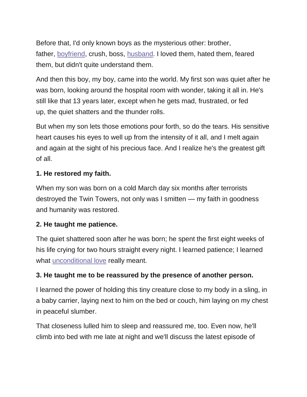Before that, I'd only known boys as the mysterious other: brother, father, [boyfriend,](http://www.yourtango.com/2014223833/love-dating-quiz-who-was-your-boyfriend-your-past-life) crush, boss, [husband.](http://www.yourtango.com/2013197121/marriage-i-put-my-husband-my-child) I loved them, hated them, feared them, but didn't quite understand them.

And then this boy, my boy, came into the world. My first son was quiet after he was born, looking around the hospital room with wonder, taking it all in. He's still like that 13 years later, except when he gets mad, frustrated, or fed up, the quiet shatters and the thunder rolls.

But when my son lets those emotions pour forth, so do the tears. His sensitive heart causes his eyes to well up from the intensity of it all, and I melt again and again at the sight of his precious face. And I realize he's the greatest gift of all.

#### **1. He restored my faith.**

When my son was born on a cold March day six months after terrorists destroyed the Twin Towers, not only was I smitten — my faith in goodness and humanity was restored.

#### **2. He taught me patience.**

The quiet shattered soon after he was born; he spent the first eight weeks of his life crying for two hours straight every night. I learned patience; I learned what [unconditional love](http://www.yourtango.com/2013201559/best-inspiring-unconditional-love-quotes-him-or-her) really meant.

### **3. He taught me to be reassured by the presence of another person.**

I learned the power of holding this tiny creature close to my body in a sling, in a baby carrier, laying next to him on the bed or couch, him laying on my chest in peaceful slumber.

That closeness lulled him to sleep and reassured me, too. Even now, he'll climb into bed with me late at night and we'll discuss the latest episode of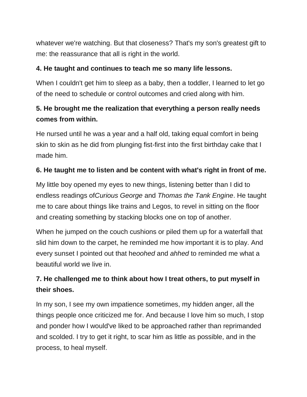whatever we're watching. But that closeness? That's my son's greatest gift to me: the reassurance that all is right in the world.

#### **4. He taught and continues to teach me so many life lessons.**

When I couldn't get him to sleep as a baby, then a toddler, I learned to let go of the need to schedule or control outcomes and cried along with him.

## **5. He brought me the realization that everything a person really needs comes from within.**

He nursed until he was a year and a half old, taking equal comfort in being skin to skin as he did from plunging fist-first into the first birthday cake that I made him.

#### **6. He taught me to listen and be content with what's right in front of me.**

My little boy opened my eyes to new things, listening better than I did to endless readings of*Curious George* and *Thomas the Tank Engine*. He taught me to care about things like trains and Legos, to revel in sitting on the floor and creating something by stacking blocks one on top of another.

When he jumped on the couch cushions or piled them up for a waterfall that slid him down to the carpet, he reminded me how important it is to play. And every sunset I pointed out that he*oohed* and *ahhed* to reminded me what a beautiful world we live in.

## **7. He challenged me to think about how I treat others, to put myself in their shoes.**

In my son, I see my own impatience sometimes, my hidden anger, all the things people once criticized me for. And because I love him so much, I stop and ponder how I would've liked to be approached rather than reprimanded and scolded. I try to get it right, to scar him as little as possible, and in the process, to heal myself.